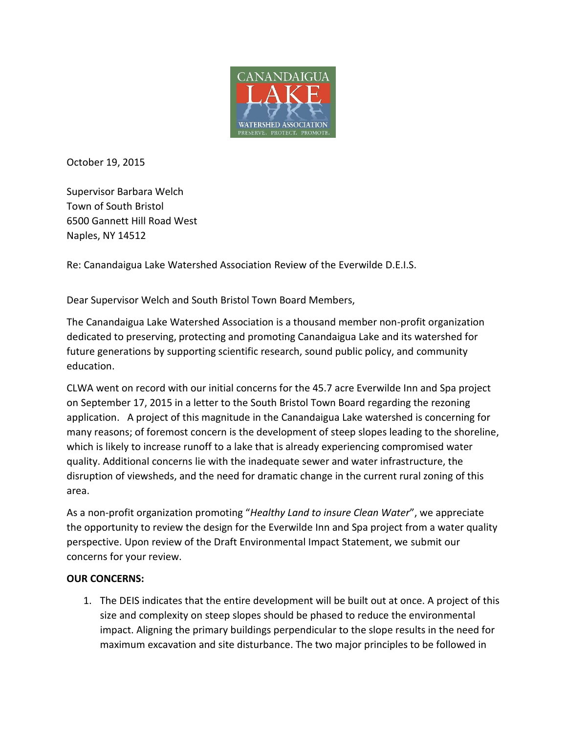

October 19, 2015

Supervisor Barbara Welch Town of South Bristol 6500 Gannett Hill Road West Naples, NY 14512

Re: Canandaigua Lake Watershed Association Review of the Everwilde D.E.I.S.

Dear Supervisor Welch and South Bristol Town Board Members,

The Canandaigua Lake Watershed Association is a thousand member non-profit organization dedicated to preserving, protecting and promoting Canandaigua Lake and its watershed for future generations by supporting scientific research, sound public policy, and community education.

CLWA went on record with our initial concerns for the 45.7 acre Everwilde Inn and Spa project on September 17, 2015 in a letter to the South Bristol Town Board regarding the rezoning application. A project of this magnitude in the Canandaigua Lake watershed is concerning for many reasons; of foremost concern is the development of steep slopes leading to the shoreline, which is likely to increase runoff to a lake that is already experiencing compromised water quality. Additional concerns lie with the inadequate sewer and water infrastructure, the disruption of viewsheds, and the need for dramatic change in the current rural zoning of this area.

As a non-profit organization promoting "*Healthy Land to insure Clean Water*", we appreciate the opportunity to review the design for the Everwilde Inn and Spa project from a water quality perspective. Upon review of the Draft Environmental Impact Statement, we submit our concerns for your review.

## **OUR CONCERNS:**

1. The DEIS indicates that the entire development will be built out at once. A project of this size and complexity on steep slopes should be phased to reduce the environmental impact. Aligning the primary buildings perpendicular to the slope results in the need for maximum excavation and site disturbance. The two major principles to be followed in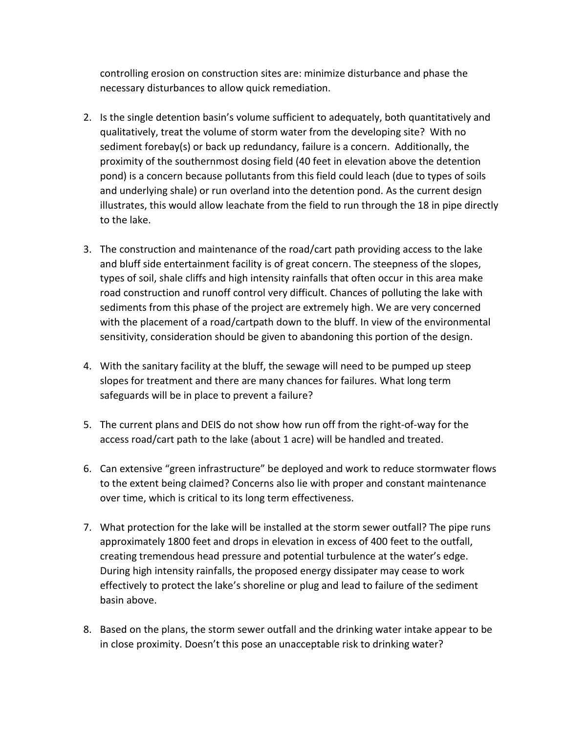controlling erosion on construction sites are: minimize disturbance and phase the necessary disturbances to allow quick remediation.

- 2. Is the single detention basin's volume sufficient to adequately, both quantitatively and qualitatively, treat the volume of storm water from the developing site? With no sediment forebay(s) or back up redundancy, failure is a concern. Additionally, the proximity of the southernmost dosing field (40 feet in elevation above the detention pond) is a concern because pollutants from this field could leach (due to types of soils and underlying shale) or run overland into the detention pond. As the current design illustrates, this would allow leachate from the field to run through the 18 in pipe directly to the lake.
- 3. The construction and maintenance of the road/cart path providing access to the lake and bluff side entertainment facility is of great concern. The steepness of the slopes, types of soil, shale cliffs and high intensity rainfalls that often occur in this area make road construction and runoff control very difficult. Chances of polluting the lake with sediments from this phase of the project are extremely high. We are very concerned with the placement of a road/cartpath down to the bluff. In view of the environmental sensitivity, consideration should be given to abandoning this portion of the design.
- 4. With the sanitary facility at the bluff, the sewage will need to be pumped up steep slopes for treatment and there are many chances for failures. What long term safeguards will be in place to prevent a failure?
- 5. The current plans and DEIS do not show how run off from the right-of-way for the access road/cart path to the lake (about 1 acre) will be handled and treated.
- 6. Can extensive "green infrastructure" be deployed and work to reduce stormwater flows to the extent being claimed? Concerns also lie with proper and constant maintenance over time, which is critical to its long term effectiveness.
- 7. What protection for the lake will be installed at the storm sewer outfall? The pipe runs approximately 1800 feet and drops in elevation in excess of 400 feet to the outfall, creating tremendous head pressure and potential turbulence at the water's edge. During high intensity rainfalls, the proposed energy dissipater may cease to work effectively to protect the lake's shoreline or plug and lead to failure of the sediment basin above.
- 8. Based on the plans, the storm sewer outfall and the drinking water intake appear to be in close proximity. Doesn't this pose an unacceptable risk to drinking water?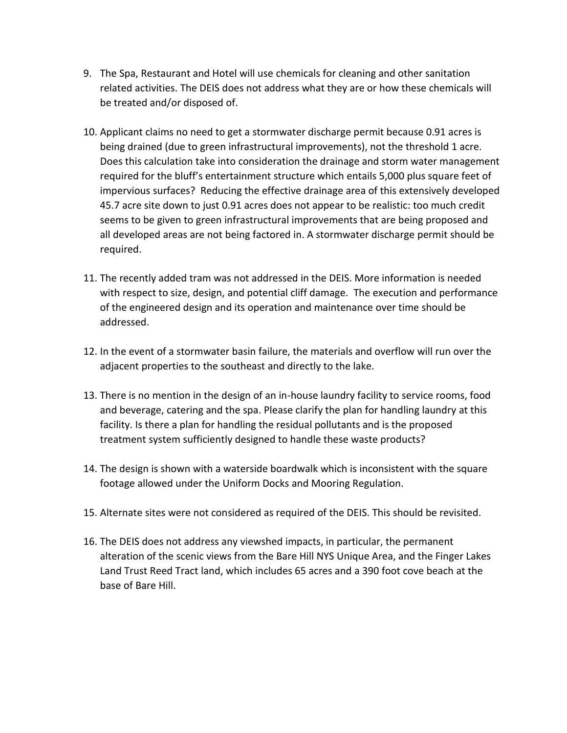- 9. The Spa, Restaurant and Hotel will use chemicals for cleaning and other sanitation related activities. The DEIS does not address what they are or how these chemicals will be treated and/or disposed of.
- 10. Applicant claims no need to get a stormwater discharge permit because 0.91 acres is being drained (due to green infrastructural improvements), not the threshold 1 acre. Does this calculation take into consideration the drainage and storm water management required for the bluff's entertainment structure which entails 5,000 plus square feet of impervious surfaces? Reducing the effective drainage area of this extensively developed 45.7 acre site down to just 0.91 acres does not appear to be realistic: too much credit seems to be given to green infrastructural improvements that are being proposed and all developed areas are not being factored in. A stormwater discharge permit should be required.
- 11. The recently added tram was not addressed in the DEIS. More information is needed with respect to size, design, and potential cliff damage. The execution and performance of the engineered design and its operation and maintenance over time should be addressed.
- 12. In the event of a stormwater basin failure, the materials and overflow will run over the adjacent properties to the southeast and directly to the lake.
- 13. There is no mention in the design of an in-house laundry facility to service rooms, food and beverage, catering and the spa. Please clarify the plan for handling laundry at this facility. Is there a plan for handling the residual pollutants and is the proposed treatment system sufficiently designed to handle these waste products?
- 14. The design is shown with a waterside boardwalk which is inconsistent with the square footage allowed under the Uniform Docks and Mooring Regulation.
- 15. Alternate sites were not considered as required of the DEIS. This should be revisited.
- 16. The DEIS does not address any viewshed impacts, in particular, the permanent alteration of the scenic views from the Bare Hill NYS Unique Area, and the Finger Lakes Land Trust Reed Tract land, which includes 65 acres and a 390 foot cove beach at the base of Bare Hill.